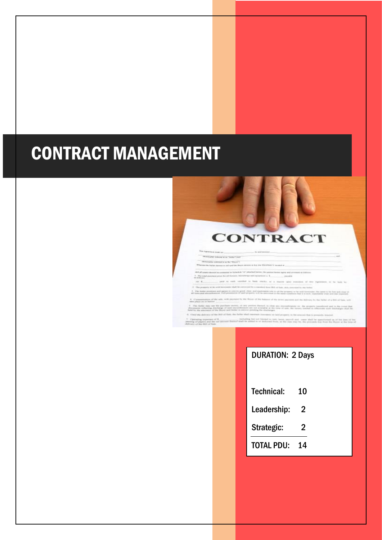# CONTRACT MANAGEMENT



## DURATION: 2 Days

| <b>Technical:</b> | 10 |
|-------------------|----|
| Leadership:       | 2  |
| Strategic:        | 2  |
| <b>TOTAL PDU:</b> | 14 |